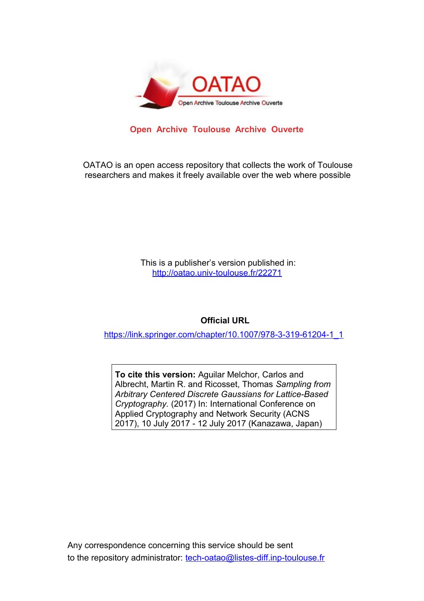

# **Open Archive Toulouse Archive Ouverte**

OATAO is an open access repository that collects the work of Toulouse researchers and makes it freely available over the web where possible

> This is a publisher's version published in: <http://oatao.univ-toulouse.fr/22271>

# **Official URL**

[https://link.springer.com/chapter/10.1007/978-3-319-61204-1\\_1](https://link.springer.com/chapter/10.1007/978-3-319-61204-1_1)

**To cite this version:** Aguilar Melchor, Carlos and Albrecht, Martin R. and Ricosset, Thomas *Sampling from Arbitrary Centered Discrete Gaussians for Lattice-Based Cryptography.* (2017) In: International Conference on Applied Cryptography and Network Security (ACNS 2017), 10 July 2017 - 12 July 2017 (Kanazawa, Japan)

Any correspondence concerning this service should be sent to the repository administrator: [tech-oatao@listes-diff.inp-toulouse.fr](mailto:tech-oatao@listes-diff.inp-toulouse.fr)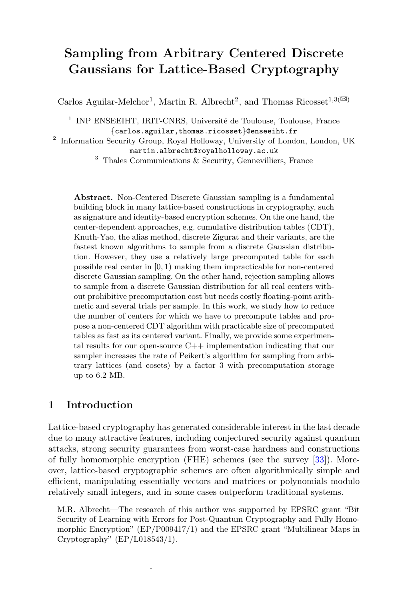# **Sampling from Arbitrary Centered Discrete Gaussians for Lattice-Based Cryptography**

Carlos Aguilar-Melchor<sup>1</sup>, Martin R. Albrecht<sup>2</sup>, and Thomas Ricosset<sup>1,3( $\boxtimes$ )</sub></sup>

 $1$  INP ENSEEIHT, IRIT-CNRS, Université de Toulouse, Toulouse, France

{carlos.aguilar,thomas.ricosset}@enseeiht.fr <sup>2</sup> Information Security Group, Royal Holloway, University of London, London, UK

martin.albrecht@royalholloway.ac.uk  $^3$  Thales Communications & Security, Gennevilliers, France

**Abstract.** Non-Centered Discrete Gaussian sampling is a fundamental building block in many lattice-based constructions in cryptography, such as signature and identity-based encryption schemes. On the one hand, the center-dependent approaches, e.g. cumulative distribution tables (CDT), Knuth-Yao, the alias method, discrete Zigurat and their variants, are the fastest known algorithms to sample from a discrete Gaussian distribution. However, they use a relatively large precomputed table for each possible real center in [0, 1) making them impracticable for non-centered discrete Gaussian sampling. On the other hand, rejection sampling allows to sample from a discrete Gaussian distribution for all real centers without prohibitive precomputation cost but needs costly floating-point arithmetic and several trials per sample. In this work, we study how to reduce the number of centers for which we have to precompute tables and propose a non-centered CDT algorithm with practicable size of precomputed tables as fast as its centered variant. Finally, we provide some experimental results for our open-source C++ implementation indicating that our sampler increases the rate of Peikert's algorithm for sampling from arbitrary lattices (and cosets) by a factor 3 with precomputation storage up to 6.2 MB.

# **1 Introduction**

Lattice-based cryptography has generated considerable interest in the last decade due to many attractive features, including conjectured security against quantum attacks, strong security guarantees from worst-case hardness and constructions of fully homomorphic encryption (FHE) schemes (see the survey [\[33\]](#page-17-0)). Moreover, lattice-based cryptographic schemes are often algorithmically simple and efficient, manipulating essentially vectors and matrices or polynomials modulo relatively small integers, and in some cases outperform traditional systems.

 $\overline{a}$ 

M.R. Albrecht—The research of this author was supported by EPSRC grant "Bit Security of Learning with Errors for Post-Quantum Cryptography and Fully Homomorphic Encryption" (EP/P009417/1) and the EPSRC grant "Multilinear Maps in Cryptography" (EP/L018543/1).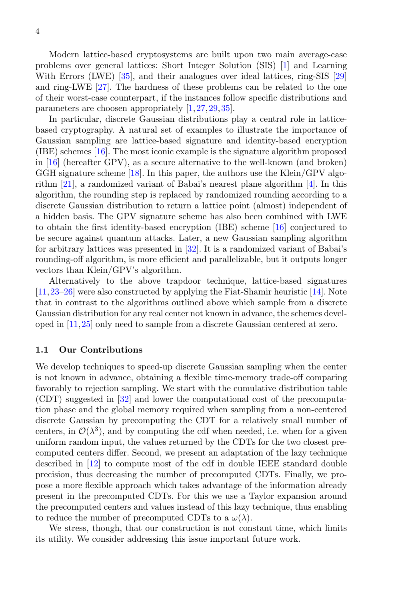Modern lattice-based cryptosystems are built upon two main average-case problems over general lattices: Short Integer Solution (SIS) [\[1\]](#page-15-0) and Learning With Errors (LWE) [\[35](#page-17-1)], and their analogues over ideal lattices, ring-SIS [\[29](#page-17-2)] and ring-LWE [\[27\]](#page-16-0). The hardness of these problems can be related to the one of their worst-case counterpart, if the instances follow specific distributions and parameters are choosen appropriately [\[1](#page-15-0)[,27,](#page-16-0)[29](#page-17-2)[,35](#page-17-1)].

In particular, discrete Gaussian distributions play a central role in latticebased cryptography. A natural set of examples to illustrate the importance of Gaussian sampling are lattice-based signature and identity-based encryption (IBE) schemes [\[16\]](#page-16-1). The most iconic example is the signature algorithm proposed in [\[16\]](#page-16-1) (hereafter GPV), as a secure alternative to the well-known (and broken) GGH signature scheme [\[18\]](#page-16-2). In this paper, the authors use the Klein/GPV algorithm [\[21](#page-16-3)], a randomized variant of Babai's nearest plane algorithm [\[4](#page-15-1)]. In this algorithm, the rounding step is replaced by randomized rounding according to a discrete Gaussian distribution to return a lattice point (almost) independent of a hidden basis. The GPV signature scheme has also been combined with LWE to obtain the first identity-based encryption (IBE) scheme [\[16](#page-16-1)] conjectured to be secure against quantum attacks. Later, a new Gaussian sampling algorithm for arbitrary lattices was presented in [\[32](#page-17-3)]. It is a randomized variant of Babai's rounding-off algorithm, is more efficient and parallelizable, but it outputs longer vectors than Klein/GPV's algorithm.

Alternatively to the above trapdoor technique, lattice-based signatures [\[11](#page-15-2),[23](#page-16-4)[–26\]](#page-16-5) were also constructed by applying the Fiat-Shamir heuristic [\[14](#page-16-6)]. Note that in contrast to the algorithms outlined above which sample from a discrete Gaussian distribution for any real center not known in advance, the schemes developed in [\[11,](#page-15-2)[25](#page-16-7)] only need to sample from a discrete Gaussian centered at zero.

#### **1.1 Our Contributions**

We develop techniques to speed-up discrete Gaussian sampling when the center is not known in advance, obtaining a flexible time-memory trade-off comparing favorably to rejection sampling. We start with the cumulative distribution table (CDT) suggested in [\[32](#page-17-3)] and lower the computational cost of the precomputation phase and the global memory required when sampling from a non-centered discrete Gaussian by precomputing the CDT for a relatively small number of centers, in  $\mathcal{O}(\lambda^3)$ , and by computing the cdf when needed, i.e. when for a given uniform random input, the values returned by the CDTs for the two closest precomputed centers differ. Second, we present an adaptation of the lazy technique described in [\[12](#page-16-8)] to compute most of the cdf in double IEEE standard double precision, thus decreasing the number of precomputed CDTs. Finally, we propose a more flexible approach which takes advantage of the information already present in the precomputed CDTs. For this we use a Taylor expansion around the precomputed centers and values instead of this lazy technique, thus enabling to reduce the number of precomputed CDTs to a  $\omega(\lambda)$ .

We stress, though, that our construction is not constant time, which limits its utility. We consider addressing this issue important future work.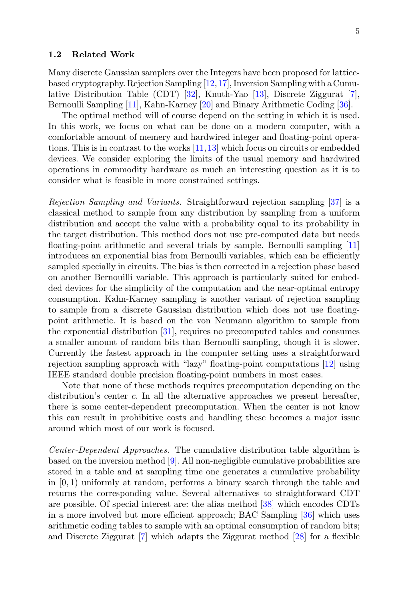Many discrete Gaussian samplers over the Integers have been proposed for latticebased cryptography. Rejection Sampling [\[12](#page-16-8)[,17](#page-16-9)], Inversion Sampling with a Cumulative Distribution Table (CDT) [\[32](#page-17-3)], Knuth-Yao [\[13](#page-16-10)], Discrete Ziggurat [\[7\]](#page-15-3), Bernoulli Sampling [\[11\]](#page-15-2), Kahn-Karney [\[20](#page-16-11)] and Binary Arithmetic Coding [\[36\]](#page-17-4).

The optimal method will of course depend on the setting in which it is used. In this work, we focus on what can be done on a modern computer, with a comfortable amount of memery and hardwired integer and floating-point operations. This is in contrast to the works [\[11,](#page-15-2)[13](#page-16-10)] which focus on circuits or embedded devices. We consider exploring the limits of the usual memory and hardwired operations in commodity hardware as much an interesting question as it is to consider what is feasible in more constrained settings.

*Rejection Sampling and Variants.* Straightforward rejection sampling [\[37](#page-17-5)] is a classical method to sample from any distribution by sampling from a uniform distribution and accept the value with a probability equal to its probability in the target distribution. This method does not use pre-computed data but needs floating-point arithmetic and several trials by sample. Bernoulli sampling [\[11\]](#page-15-2) introduces an exponential bias from Bernoulli variables, which can be efficiently sampled specially in circuits. The bias is then corrected in a rejection phase based on another Bernouilli variable. This approach is particularly suited for embedded devices for the simplicity of the computation and the near-optimal entropy consumption. Kahn-Karney sampling is another variant of rejection sampling to sample from a discrete Gaussian distribution which does not use floatingpoint arithmetic. It is based on the von Neumann algorithm to sample from the exponential distribution [\[31\]](#page-17-6), requires no precomputed tables and consumes a smaller amount of random bits than Bernoulli sampling, though it is slower. Currently the fastest approach in the computer setting uses a straightforward rejection sampling approach with "lazy" floating-point computations [\[12](#page-16-8)] using IEEE standard double precision floating-point numbers in most cases.

Note that none of these methods requires precomputation depending on the distribution's center c. In all the alternative approaches we present hereafter, there is some center-dependent precomputation. When the center is not know this can result in prohibitive costs and handling these becomes a major issue around which most of our work is focused.

*Center-Dependent Approaches.* The cumulative distribution table algorithm is based on the inversion method [\[9\]](#page-15-4). All non-negligible cumulative probabilities are stored in a table and at sampling time one generates a cumulative probability in [0, 1) uniformly at random, performs a binary search through the table and returns the corresponding value. Several alternatives to straightforward CDT are possible. Of special interest are: the alias method [\[38\]](#page-17-7) which encodes CDTs in a more involved but more efficient approach; BAC Sampling [\[36\]](#page-17-4) which uses arithmetic coding tables to sample with an optimal consumption of random bits; and Discrete Ziggurat [\[7](#page-15-3)] which adapts the Ziggurat method [\[28\]](#page-16-12) for a flexible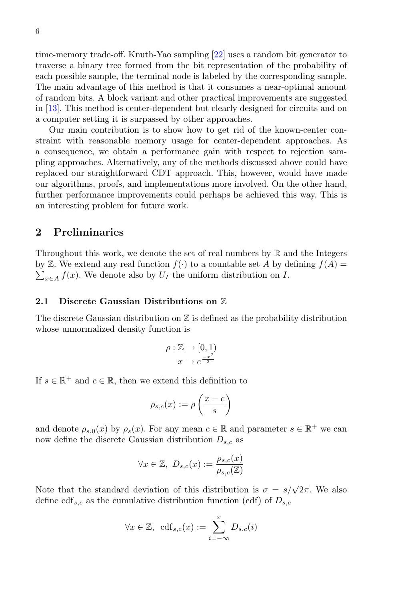time-memory trade-off. Knuth-Yao sampling [\[22\]](#page-16-13) uses a random bit generator to traverse a binary tree formed from the bit representation of the probability of each possible sample, the terminal node is labeled by the corresponding sample. The main advantage of this method is that it consumes a near-optimal amount of random bits. A block variant and other practical improvements are suggested in [\[13](#page-16-10)]. This method is center-dependent but clearly designed for circuits and on a computer setting it is surpassed by other approaches.

Our main contribution is to show how to get rid of the known-center constraint with reasonable memory usage for center-dependent approaches. As a consequence, we obtain a performance gain with respect to rejection sampling approaches. Alternatively, any of the methods discussed above could have replaced our straightforward CDT approach. This, however, would have made our algorithms, proofs, and implementations more involved. On the other hand, further performance improvements could perhaps be achieved this way. This is an interesting problem for future work.

# **2 Preliminaries**

Throughout this work, we denote the set of real numbers by  $\mathbb R$  and the Integers by  $\mathbb{Z}$ . We extend any real function  $f(\cdot)$  to a countable set A by defining  $f(A) =$  $\sum_{x \in A} f(x)$ . We denote also by  $U_I$  the uniform distribution on  $I$ .

### **2.1 Discrete Gaussian Distributions on** Z

The discrete Gaussian distribution on  $\mathbb Z$  is defined as the probability distribution whose unnormalized density function is

$$
\rho : \mathbb{Z} \to [0, 1)
$$

$$
x \to e^{\frac{-x^2}{2}}
$$

If  $s \in \mathbb{R}^+$  and  $c \in \mathbb{R}$ , then we extend this definition to

$$
\rho_{s,c}(x) := \rho\left(\frac{x-c}{s}\right)
$$

and denote  $\rho_{s,0}(x)$  by  $\rho_s(x)$ . For any mean  $c \in \mathbb{R}$  and parameter  $s \in \mathbb{R}^+$  we can now define the discrete Gaussian distribution  $D_{s,c}$  as

$$
\forall x \in \mathbb{Z}, \ D_{s,c}(x) := \frac{\rho_{s,c}(x)}{\rho_{s,c}(\mathbb{Z})}
$$

Note that the standard deviation of this distribution is  $\sigma = s/\sqrt{2\pi}$ . We also define cdf<sub>s,c</sub> as the cumulative distribution function (cdf) of  $D_{s,c}$ 

$$
\forall x \in \mathbb{Z}, \ \mathrm{cdf}_{s,c}(x) := \sum_{i=-\infty}^{x} D_{s,c}(i)
$$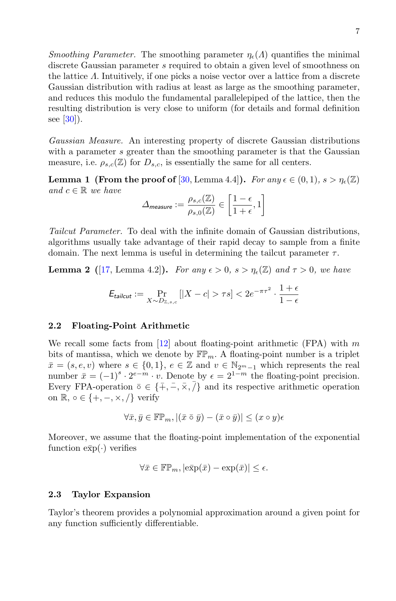*Smoothing Parameter.* The smoothing parameter  $\eta_{\epsilon}(A)$  quantifies the minimal discrete Gaussian parameter s required to obtain a given level of smoothness on the lattice  $\Lambda$ . Intuitively, if one picks a noise vector over a lattice from a discrete Gaussian distribution with radius at least as large as the smoothing parameter, and reduces this modulo the fundamental parallelepiped of the lattice, then the resulting distribution is very close to uniform (for details and formal definition see  $[30]$  $[30]$ ).

*Gaussian Measure.* An interesting property of discrete Gaussian distributions with a parameter s greater than the smoothing parameter is that the Gaussian measure, i.e.  $\rho_{s,c}(\mathbb{Z})$  for  $D_{s,c}$ , is essentially the same for all centers.

**Lemma 1 (From the proof of** [\[30,](#page-17-8) Lemma 4.4]). *For any*  $\epsilon \in (0,1)$ *,*  $s > \eta_{\epsilon}(\mathbb{Z})$ *and*  $c \in \mathbb{R}$  *we have* 

<span id="page-5-1"></span>
$$
\varDelta_{\textit{measure}} := \frac{\rho_{s,c}(\mathbb{Z})}{\rho_{s,0}(\mathbb{Z})} \in \left[\frac{1-\epsilon}{1+\epsilon},1\right]
$$

*Tailcut Parameter.* To deal with the infinite domain of Gaussian distributions, algorithms usually take advantage of their rapid decay to sample from a finite domain. The next lemma is useful in determining the tailcut parameter  $\tau$ .

**Lemma 2** ([\[17](#page-16-9), Lemma 4.2]). *For any*  $\epsilon > 0$ ,  $s > \eta_{\epsilon}(\mathbb{Z})$  *and*  $\tau > 0$ , we have

$$
E_{\text{tailcut}} := \Pr_{X \sim D_{\mathbb{Z},s,c}} \left[ |X - c| > \tau s \right] < 2e^{-\pi \tau^2} \cdot \frac{1 + \epsilon}{1 - \epsilon}
$$

#### **2.2 Floating-Point Arithmetic**

We recall some facts from [\[12\]](#page-16-8) about floating-point arithmetic (FPA) with m bits of mantissa, which we denote by  $\mathbb{FP}_m$ . A floating-point number is a triplet  $\bar{x} = (s, e, v)$  where  $s \in \{0, 1\}, e \in \mathbb{Z}$  and  $v \in \mathbb{N}_{2^m-1}$  which represents the real number  $\bar{x} = (-1)^s \cdot 2^{e-m} \cdot v$ . Denote by  $\epsilon = 2^{1-m}$  the floating-point precision. Every FPA-operation  $\overline{\circ} \in {\overline{+}, -, \overline{\times}, \overline{\gamma}}$  and its respective arithmetic operation on  $\mathbb{R}, \circ \in \{+, -, \times, / \}$  verify

$$
\forall \bar{x}, \bar{y} \in \mathbb{FP}_m, |(\bar{x} \mathbin{\bar{\circ}} \bar{y}) - (\bar{x} \circ \bar{y})| \leq (x \circ y) \epsilon
$$

Moreover, we assume that the floating-point implementation of the exponential function  $\exp(\cdot)$  verifies

<span id="page-5-0"></span>
$$
\forall \bar{x} \in \mathbb{FP}_m, |\exp(\bar{x}) - \exp(\bar{x})| \le \epsilon.
$$

#### **2.3 Taylor Expansion**

Taylor's theorem provides a polynomial approximation around a given point for any function sufficiently differentiable.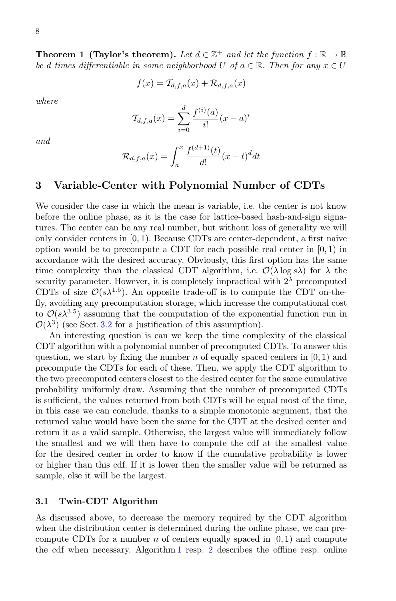8

**Theorem 1 (Taylor's theorem).** Let  $d \in \mathbb{Z}^+$  and let the function  $f : \mathbb{R} \to \mathbb{R}$ *be* d *times differentiable in some neighborhood* U of  $a \in \mathbb{R}$ . Then for any  $x \in U$ 

$$
f(x) = \mathcal{T}_{d,f,a}(x) + \mathcal{R}_{d,f,a}(x)
$$

*where*

$$
\mathcal{T}_{d,f,a}(x) = \sum_{i=0}^{d} \frac{f^{(i)}(a)}{i!} (x - a)^i
$$

*and*

$$
\mathcal{R}_{d,f,a}(x) = \int_{a}^{x} \frac{f^{(d+1)}(t)}{d!} (x-t)^{d} dt
$$

## **3 Variable-Center with Polynomial Number of CDTs**

We consider the case in which the mean is variable, i.e. the center is not know before the online phase, as it is the case for lattice-based hash-and-sign signatures. The center can be any real number, but without loss of generality we will only consider centers in  $[0, 1)$ . Because CDTs are center-dependent, a first naive option would be to precompute a CDT for each possible real center in  $[0, 1)$  in accordance with the desired accuracy. Obviously, this first option has the same time complexity than the classical CDT algorithm, i.e.  $\mathcal{O}(\lambda \log s\lambda)$  for  $\lambda$  the security parameter. However, it is completely impractical with  $2^{\lambda}$  precomputed CDTs of size  $\mathcal{O}(s\lambda^{1.5})$ . An opposite trade-off is to compute the CDT on-thefly, avoiding any precomputation storage, which increase the computational cost to  $\mathcal{O}(s\lambda^{3.5})$  assuming that the computation of the exponential function run in  $\mathcal{O}(\lambda^3)$  (see Sect. [3.2](#page-9-0) for a justification of this assumption).

An interesting question is can we keep the time complexity of the classical CDT algorithm with a polynomial number of precomputed CDTs. To answer this question, we start by fixing the number n of equally spaced centers in  $[0, 1)$  and precompute the CDTs for each of these. Then, we apply the CDT algorithm to the two precomputed centers closest to the desired center for the same cumulative probability uniformly draw. Assuming that the number of precomputed CDTs is sufficient, the values returned from both CDTs will be equal most of the time, in this case we can conclude, thanks to a simple monotonic argument, that the returned value would have been the same for the CDT at the desired center and return it as a valid sample. Otherwise, the largest value will immediately follow the smallest and we will then have to compute the cdf at the smallest value for the desired center in order to know if the cumulative probability is lower or higher than this cdf. If it is lower then the smaller value will be returned as sample, else it will be the largest.

#### <span id="page-6-0"></span>**3.1 Twin-CDT Algorithm**

As discussed above, to decrease the memory required by the CDT algorithm when the distribution center is determined during the online phase, we can precompute CDTs for a number n of centers equally spaced in  $[0, 1)$  and compute the cdf when necessary. Algorithm [1](#page-7-0) resp. [2](#page-7-1) describes the offline resp. online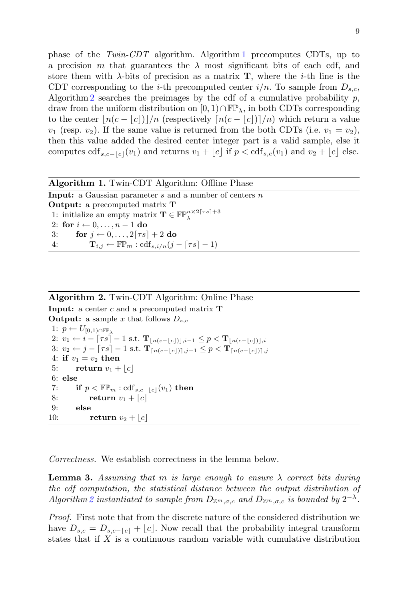phase of the *Twin-CDT* algorithm. Algorithm [1](#page-7-0) precomputes CDTs, up to a precision m that guarantees the  $\lambda$  most significant bits of each cdf, and store them with  $\lambda$ -bits of precision as a matrix **T**, where the *i*-th line is the CDT corresponding to the *i*-th precomputed center  $i/n$ . To sample from  $D_{s,c}$ , Algorithm [2](#page-7-1) searches the preimages by the cdf of a cumulative probability  $p$ , draw from the uniform distribution on  $[0, 1) \cap \mathbb{FP}_{\lambda}$ , in both CDTs corresponding to the center  $\lfloor n(c - \lfloor c \rfloor) \rfloor/n$  (respectively  $\lfloor n(c - \lfloor c \rfloor) \rfloor/n$ ) which return a value  $v_1$  (resp.  $v_2$ ). If the same value is returned from the both CDTs (i.e.  $v_1 = v_2$ ), then this value added the desired center integer part is a valid sample, else it computes  $\text{cdf}_{s,c-|c|}(v_1)$  and returns  $v_1 + \lfloor c \rfloor$  if  $p < \text{cdf}_{s,c}(v_1)$  and  $v_2 + \lfloor c \rfloor$  else.

<span id="page-7-0"></span>

| <b>Algorithm 1.</b> Twin-CDT Algorithm: Offline Phase                                                     |  |  |  |  |  |  |
|-----------------------------------------------------------------------------------------------------------|--|--|--|--|--|--|
| <b>Input:</b> a Gaussian parameter $s$ and a number of centers $n$                                        |  |  |  |  |  |  |
| <b>Output:</b> a precomputed matrix <b>T</b>                                                              |  |  |  |  |  |  |
| 1: initialize an empty matrix $\mathbf{T} \in \mathbb{FP}_{\lambda}^{n \times 2\lceil \tau s \rceil + 3}$ |  |  |  |  |  |  |
| 2: for $i \leftarrow 0, \ldots, n-1$ do                                                                   |  |  |  |  |  |  |
| for $j \leftarrow 0, \ldots, 2\lceil \tau s \rceil + 2$ do<br>-3:                                         |  |  |  |  |  |  |
| $\mathbf{T}_{i,j} \leftarrow \mathbb{FP}_m : \mathrm{cdf}_{s,i/n}(j - \lceil \tau s \rceil - 1)$<br>4:    |  |  |  |  |  |  |
|                                                                                                           |  |  |  |  |  |  |

#### **Algorithm 2.** Twin-CDT Algorithm: Online Phase

<span id="page-7-1"></span>**Input:** a center c and a precomputed matrix **T Output:** a sample x that follows  $D_{s,c}$ 1:  $p \leftarrow U_{[0,1)\cap \mathbb{FP}_{\lambda}}$ 2:  $v_1 \leftarrow i - \left[\tau s\right] - 1 \text{ s.t. } \mathbf{T}_{\lfloor n(c-\lfloor c\rfloor) \rfloor, i-1} \leq p < \mathbf{T}_{\lfloor n(c-\lfloor c\rfloor) \rfloor, i}$ 3:  $v_2 \leftarrow j - \lceil \tau s \rceil - 1 \text{ s.t. } \mathbf{T}_{\lceil n(c - \lfloor c \rfloor) \rceil, j-1} \leq p < \mathbf{T}_{\lceil n(c - \lfloor c \rfloor) \rceil, j}$ 4: **if**  $v_1 = v_2$  **then** 5: **return**  $v_1 + |c|$ 6: **else** 7: **if**  $p < \mathbb{FP}_m : \text{cdf}_{s,c-\lfloor c \rfloor}(v_1)$  then<br>8: **return**  $v_1 + |c|$ 8: **return**  $v_1 + \lfloor c \rfloor$ <br>9: **else** 9: **else** 10: **return**  $v_2 + |c|$ 

*Correctness.* We establish correctness in the lemma below.

**Lemma 3.** *Assuming that* m *is large enough to ensure* λ *correct bits during the cdf computation, the statistical distance between the output distribution of Algorithm* [2](#page-7-1) *instantiated to sample from*  $D_{\mathbb{Z}^m, \sigma,c}$  *and*  $D_{\mathbb{Z}^m, \sigma,c}$  *is bounded by*  $2^{-\lambda}$ *.* 

*Proof.* First note that from the discrete nature of the considered distribution we have  $D_{s,c} = D_{s,c-\lfloor c \rfloor} + \lfloor c \rfloor$ . Now recall that the probability integral transform states that if X is a continuous random variable with cumulative distribution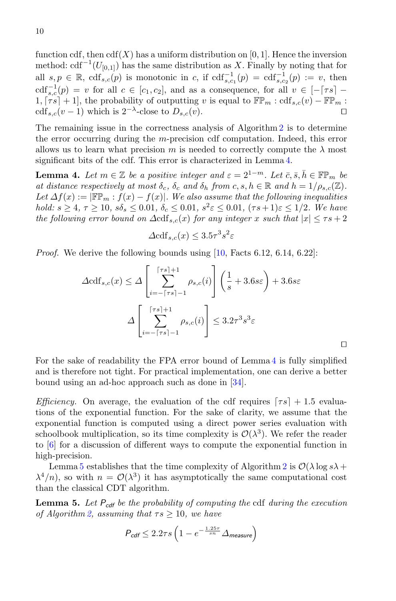function cdf, then  $\text{cdf}(X)$  has a uniform distribution on [0, 1]. Hence the inversion method: cdf<sup>-1</sup>(U<sub>[0,1]</sub>) has the same distribution as X. Finally by noting that for all  $s, p \in \mathbb{R}$ ,  $\text{cdf}_{s,c}(p)$  is monotonic in c, if  $\text{cdf}_{s,c_1}^{-1}(p) = \text{cdf}_{s,c_2}^{-1}(p) := v$ , then  $cdf_{s,c}^{-1}(p) = v$  for all  $c \in [c_1, c_2]$ , and as a consequence, for all  $v \in [-\lceil rs \rceil 1, \lceil \tau s \rceil + 1$ , the probability of outputting v is equal to  $\mathbb{FP}_m : \text{cdf}_{s,c}(v) - \mathbb{FP}_m$ : cdf<sub>s,c</sub>(v – 1) which is  $2^{-\lambda}$ -close to  $D_{s,c}(v)$ .

The remaining issue in the correctness analysis of Algorithm  $2$  is to determine the error occurring during the m-precision cdf computation. Indeed, this error allows us to learn what precision m is needed to correctly compute the  $\lambda$  most significant bits of the cdf. This error is characterized in Lemma [4.](#page-8-0)

**Lemma 4.** Let  $m \in \mathbb{Z}$  be a positive integer and  $\varepsilon = 2^{1-m}$ . Let  $\bar{c}, \bar{s}, \bar{h} \in \mathbb{FP}_m$  be *at distance respectively at most*  $\delta_c$ ,  $\delta_c$  *and*  $\delta_h$  *from*  $c, s, h \in \mathbb{R}$  *and*  $h = 1/\rho_{s,c}(\mathbb{Z})$ *.* Let  $\Delta f(x) := |\mathbb{FP}_m : f(x) - f(x)|$ *. We also assume that the following inequalities hold:*  $s \ge 4, \tau \ge 10, s\delta_s \le 0.01, \delta_c \le 0.01, s^2 \epsilon \le 0.01, (\tau s + 1)\epsilon \le 1/2$ *. We have the following error bound on*  $\Delta \text{cdf}_{s,c}(x)$  *for any integer* x *such that*  $|x| \leq \tau s + 2$ 

<span id="page-8-0"></span>
$$
\Delta \mathrm{cdf}_{s,c}(x) \leq 3.5\tau^3 s^2 \varepsilon
$$

*Proof.* We derive the following bounds using [\[10,](#page-15-5) Facts 6.12, 6.14, 6.22]:

$$
\Delta \text{cdf}_{s,c}(x) \le \Delta \left[ \sum_{i=-\lceil \tau s \rceil-1}^{\lceil \tau s \rceil+1} \rho_{s,c}(i) \right] \left( \frac{1}{s} + 3.6s\varepsilon \right) + 3.6s\varepsilon
$$

$$
\Delta \left[ \sum_{i=-\lceil \tau s \rceil-1}^{\lceil \tau s \rceil+1} \rho_{s,c}(i) \right] \le 3.2\tau^3 s^3 \varepsilon
$$

 $\Box$ 

For the sake of readability the FPA error bound of Lemma [4](#page-8-0) is fully simplified and is therefore not tight. For practical implementation, one can derive a better bound using an ad-hoc approach such as done in [\[34](#page-17-9)].

*Efficiency.* On average, the evaluation of the cdf requires  $\lceil \tau s \rceil + 1.5$  evaluations of the exponential function. For the sake of clarity, we assume that the exponential function is computed using a direct power series evaluation with schoolbook multiplication, so its time complexity is  $\mathcal{O}(\lambda^3)$ . We refer the reader to [\[6\]](#page-15-6) for a discussion of different ways to compute the exponential function in high-precision.

Lemma [5](#page-8-1) establishes that the time complexity of Algorithm [2](#page-7-1) is  $\mathcal{O}(\lambda \log s\lambda +$  $\lambda^4/n$ , so with  $n = \mathcal{O}(\lambda^3)$  it has asymptotically the same computational cost than the classical CDT algorithm.

**Lemma 5.** *Let Pcdf be the probability of computing the* cdf *during the execution of Algorithm [2,](#page-7-1) assuming that*  $\tau s \geq 10$ *, we have* 

<span id="page-8-1"></span>
$$
P_{\text{cdf}} \le 2.2\tau s \left(1 - e^{-\frac{1.25\tau}{sn}} \Delta_{\text{measure}}\right)
$$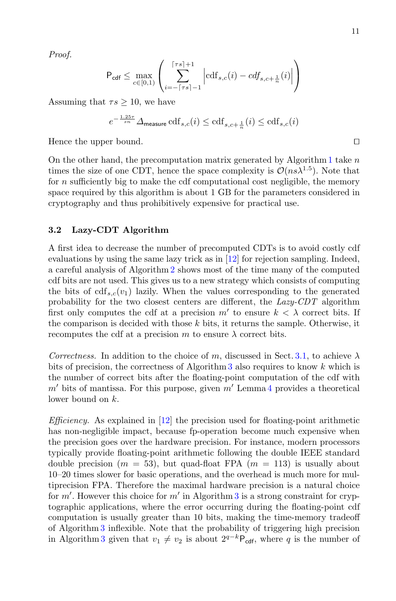*Proof.*

$$
P_{\text{cdf}} \le \max_{c \in [0,1)} \left( \sum_{i=-\lceil \tau s \rceil-1}^{\lceil \tau s \rceil+1} \left| \text{cdf}_{s,c}(i) - cdf_{s,c+\frac{1}{n}}(i) \right| \right)
$$

Assuming that  $\tau s \geq 10$ , we have

$$
e^{-\frac{1.25\tau}{sn}}\varDelta_{\text{measure}}\operatorname{cdf}_{s,c}(i)\leq \operatorname{cdf}_{s,c+\frac{1}{n}}(i)\leq \operatorname{cdf}_{s,c}(i)
$$

Hence the upper bound.

On the other hand, the precomputation matrix generated by Algorithm [1](#page-7-0) take  $n$ times the size of one CDT, hence the space complexity is  $\mathcal{O}(ns\lambda^{1.5})$ . Note that for  $n$  sufficiently big to make the cdf computational cost negligible, the memory space required by this algorithm is about 1 GB for the parameters considered in cryptography and thus prohibitively expensive for practical use.

#### <span id="page-9-0"></span>**3.2 Lazy-CDT Algorithm**

A first idea to decrease the number of precomputed CDTs is to avoid costly cdf evaluations by using the same lazy trick as in [\[12\]](#page-16-8) for rejection sampling. Indeed, a careful analysis of Algorithm [2](#page-7-1) shows most of the time many of the computed cdf bits are not used. This gives us to a new strategy which consists of computing the bits of  $cdf_{s,c}(v_1)$  lazily. When the values corresponding to the generated probability for the two closest centers are different, the *Lazy-CDT* algorithm first only computes the cdf at a precision  $m'$  to ensure  $k < \lambda$  correct bits. If the comparison is decided with those  $k$  bits, it returns the sample. Otherwise, it recomputes the cdf at a precision m to ensure  $\lambda$  correct bits.

*Correctness.* In addition to the choice of m, discussed in Sect. [3.1,](#page-6-0) to achieve  $\lambda$ bits of precision, the correctness of Algorithm [3](#page-10-0) also requires to know  $k$  which is the number of correct bits after the floating-point computation of the cdf with  $m'$  bits of mantissa. For this purpose, given  $m'$  Lemma [4](#page-8-0) provides a theoretical lower bound on k.

*Efficiency.* As explained in [\[12\]](#page-16-8) the precision used for floating-point arithmetic has non-negligible impact, because fp-operation become much expensive when the precision goes over the hardware precision. For instance, modern processors typically provide floating-point arithmetic following the double IEEE standard double precision  $(m = 53)$ , but quad-float FPA  $(m = 113)$  is usually about 10–20 times slower for basic operations, and the overhead is much more for multiprecision FPA. Therefore the maximal hardware precision is a natural choice for  $m'$ . However this choice for  $m'$  in Algorithm [3](#page-10-0) is a strong constraint for cryptographic applications, where the error occurring during the floating-point cdf computation is usually greater than 10 bits, making the time-memory tradeoff of Algorithm [3](#page-10-0) inflexible. Note that the probability of triggering high precision in Algorithm [3](#page-10-0) given that  $v_1 \neq v_2$  is about  $2^{q-k}P_{\text{cdf}}$ , where q is the number of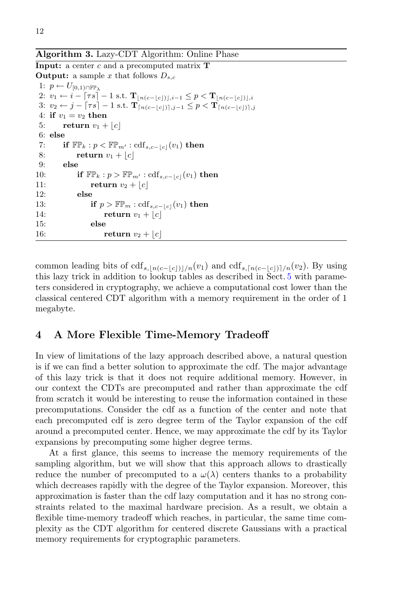### <span id="page-10-0"></span>**Algorithm 3.** Lazy-CDT Algorithm: Online Phase

**Input:** a center c and a precomputed matrix **T Output:** a sample x that follows  $D_{s,c}$ 

```
1: p \leftarrow U_{[0,1)\cap \mathbb{FP}}2: v_1 \leftarrow i - \lceil \tau s \rceil - 1 s.t. \mathbf{T}_{\lfloor n(c-|c|) \rfloor, i-1} \leq p < \mathbf{T}_{\lfloor n(c-|c|) \rfloor, i}3: v_2 \leftarrow j - \lceil \tau s \rceil - 1 \text{ s.t. } \mathbf{T}_{\lceil n(c - \lfloor c \rfloor) \rceil, j-1} \leq p < \mathbf{T}_{\lceil n(c - \lfloor c \rfloor) \rceil, j}4: if v_1 = v_2 then
 5: return v_1 + |c|6: else
 7: if \mathbb{FP}_k : p < \mathbb{FP}_{m'} : \text{cdf}_{s,c-\lfloor c \rfloor}(v_1) then
 8: return v_1 + \lfloor c \rfloor<br>9: else
             9: else
10: if \mathbb{FP}_k : p > \mathbb{FP}_{m'} : \text{cdf}_{s,c-\lfloor c \rfloor}(v_1) then
11: return v_2 + \lfloor c \rfloor<br>12: else
                    12: else
13: if p > \mathbb{FP}_m : \text{cdf}_{s,c-\lfloor c \rfloor}(v_1) then<br>14: return v_1 + |c|14: return v_1 + \lfloor c \rfloor<br>15: else
                           15: else
16: return v_2 + |c|
```
common leading bits of cdf<sub>s, $n(c-|c|)/n(v_1)$ </sub> and cdf<sub>s, $n(c-|c|)/n(v_2)$ . By using</sub> this lazy trick in addition to lookup tables as described in Sect. [5](#page-13-0) with parameters considered in cryptography, we achieve a computational cost lower than the classical centered CDT algorithm with a memory requirement in the order of 1 megabyte.

# **4 A More Flexible Time-Memory Tradeoff**

In view of limitations of the lazy approach described above, a natural question is if we can find a better solution to approximate the cdf. The major advantage of this lazy trick is that it does not require additional memory. However, in our context the CDTs are precomputed and rather than approximate the cdf from scratch it would be interesting to reuse the information contained in these precomputations. Consider the cdf as a function of the center and note that each precomputed cdf is zero degree term of the Taylor expansion of the cdf around a precomputed center. Hence, we may approximate the cdf by its Taylor expansions by precomputing some higher degree terms.

At a first glance, this seems to increase the memory requirements of the sampling algorithm, but we will show that this approach allows to drastically reduce the number of precomputed to a  $\omega(\lambda)$  centers thanks to a probability which decreases rapidly with the degree of the Taylor expansion. Moreover, this approximation is faster than the cdf lazy computation and it has no strong constraints related to the maximal hardware precision. As a result, we obtain a flexible time-memory tradeoff which reaches, in particular, the same time complexity as the CDT algorithm for centered discrete Gaussians with a practical memory requirements for cryptographic parameters.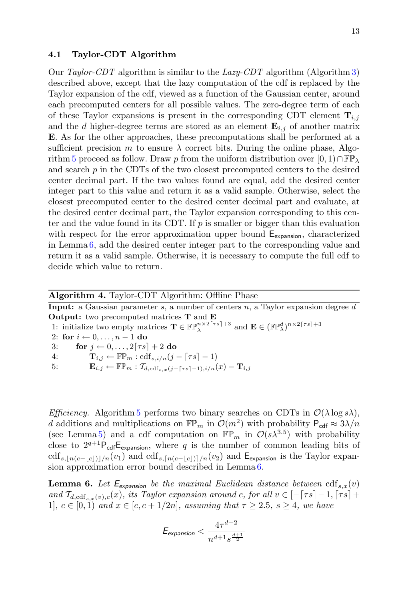#### **4.1 Taylor-CDT Algorithm**

Our *Taylor-CDT* algorithm is similar to the *Lazy-CDT* algorithm (Algorithm [3\)](#page-10-0) described above, except that the lazy computation of the cdf is replaced by the Taylor expansion of the cdf, viewed as a function of the Gaussian center, around each precomputed centers for all possible values. The zero-degree term of each of these Taylor expansions is present in the corresponding CDT element  $\mathbf{T}_{i,j}$ and the d higher-degree terms are stored as an element  $\mathbf{E}_{i,j}$  of another matrix **E**. As for the other approaches, these precomputations shall be performed at a sufficient precision m to ensure  $\lambda$  correct bits. During the online phase, Algo-rithm [5](#page-12-0) proceed as follow. Draw p from the uniform distribution over  $[0, 1) \cap \mathbb{FP}_{\lambda}$ and search  $p$  in the CDTs of the two closest precomputed centers to the desired center decimal part. If the two values found are equal, add the desired center integer part to this value and return it as a valid sample. Otherwise, select the closest precomputed center to the desired center decimal part and evaluate, at the desired center decimal part, the Taylor expansion corresponding to this center and the value found in its CDT. If  $p$  is smaller or bigger than this evaluation with respect for the error approximation upper bound  $E_{\text{expanion}}$ , characterized in Lemma [6,](#page-11-0) add the desired center integer part to the corresponding value and return it as a valid sample. Otherwise, it is necessary to compute the full cdf to decide which value to return.

<span id="page-11-1"></span>

| <b>Algorithm 4.</b> Taylor-CDT Algorithm: Offline Phase                                                                                                                                |
|----------------------------------------------------------------------------------------------------------------------------------------------------------------------------------------|
| <b>Input:</b> a Gaussian parameter s, a number of centers n, a Taylor expansion degree d                                                                                               |
| <b>Output:</b> two precomputed matrices $T$ and $E$                                                                                                                                    |
| 1: initialize two empty matrices $\mathbf{T} \in \mathbb{FP}_{1}^{n \times 2\lceil \tau s \rceil + 3}$ and $\mathbf{E} \in (\mathbb{FP}_{1}^{d})^{n \times 2\lceil \tau s \rceil + 3}$ |
| 2: for $i \leftarrow 0, \ldots, n-1$ do                                                                                                                                                |
| for $j \leftarrow 0, \ldots, 2[\tau s] + 2$ do<br>3:                                                                                                                                   |
| $\mathbf{T}_{i,j} \leftarrow \mathbb{FP}_m : \mathrm{cdf}_{s,i/n}(j - \lceil \tau s \rceil - 1)$<br>4:                                                                                 |
| $\mathbf{E}_{i,j} \leftarrow \mathbb{FP}_m : \mathcal{T}_{d,\text{cdf}_{s,x}(j-\lceil \tau s \rceil-1),i/n}(x) - \mathbf{T}_{i,j}$<br>-5:                                              |

*Efficiency.* Algorithm [5](#page-12-0) performs two binary searches on CDTs in  $\mathcal{O}(\lambda \log s\lambda)$ , d additions and multiplications on  $\mathbb{FP}_m$  in  $\mathcal{O}(m^2)$  with probability  $P_{\text{cdf}} \approx 3\lambda/n$ (see Lemma [5\)](#page-8-1) and a cdf computation on  $\mathbb{FP}_m$  in  $\mathcal{O}(s\lambda^{3.5})$  with probability close to  $2^{q+1}P_{\text{cdf}}E_{\text{expansion}}$ , where q is the number of common leading bits of cdf<sub>s,|n(c-|c|)|/n</sub>(v<sub>1</sub>) and cdf<sub>s,[n(c-|c|)]/n</sub>(v<sub>2</sub>) and E<sub>expansion</sub> is the Taylor expansion approximation error bound described in Lemma [6.](#page-11-0)

**Lemma 6.** Let  $E_{expansion}$  be the maximal Euclidean distance between  $\text{cdf}_{s,x}(v)$ and  $\mathcal{T}_{d, \text{cdf}_{s,r}(v), c}(x)$ *, its Taylor expansion around* c, for all  $v \in [-\lceil \tau s \rceil - 1, \lceil \tau s \rceil +$ 1,  $c \in [0, 1)$  and  $x \in [c, c + 1/2n]$ *, assuming that*  $\tau \ge 2.5$ *,*  $s \ge 4$ *, we have* 

<span id="page-11-0"></span>
$$
\mathit{E}_{expansion} < \frac{4\tau^{d+2}}{n^{d+1} s^{\frac{d+1}{2}}}
$$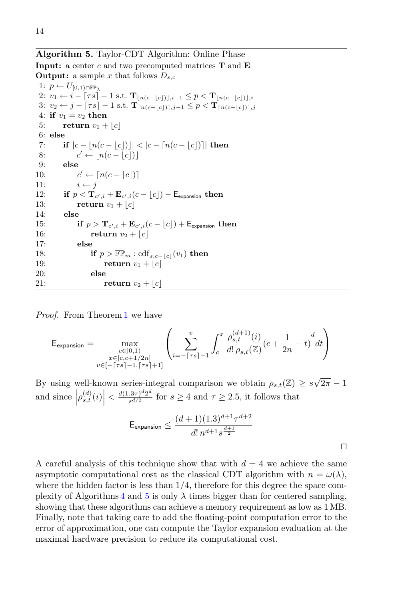#### **Algorithm 5.** Taylor-CDT Algorithm: Online Phase

<span id="page-12-0"></span>**Input:** a center c and two precomputed matrices **T** and **E Output:** a sample x that follows  $D_{s,c}$ 1:  $p \leftarrow U_{[0,1)\cap \mathbb{FP}}$ 2:  $v_1 \leftarrow i - \lceil \tau s \rceil - 1$  s.t.  $\mathbf{T}_{\lfloor n(c-|c|) \rfloor, i-1} \leq p < \mathbf{T}_{\lfloor n(c-|c|) \rfloor, i}$ 3:  $v_2 \leftarrow j - \lceil \tau s \rceil - 1 \text{ s.t. } \mathbf{T}_{\lceil n(c - \lfloor c \rfloor) \rceil, j-1} \leq p < \mathbf{T}_{\lceil n(c - \lfloor c \rfloor) \rceil, j}$ 4: **if**  $v_1 = v_2$  **then** 5: **return**  $v_1 + |c|$ 6: **else** 7: **if**  $|c - [n(c - \lfloor c \rfloor)]| < |c - [n(c - \lfloor c \rfloor)]|$  then<br>8:  $c' \leftarrow |n(c - \lfloor c \rfloor)|$ 8:  $c' \leftarrow [n(c - \lfloor c \rfloor)]$ <br>9: else 9: **else** 10:  $c' \leftarrow \lceil n(c - \lfloor c \rfloor) \rceil$ <br>11:  $i \leftarrow i$ 11:  $i \leftarrow j$ <br>12: if  $n \leq T_c$ 12: **if**  $p < \mathbf{T}_{c',i} + \mathbf{E}_{c',i}(c - \lfloor c \rfloor) - \mathbf{E}_{\text{expansion}}$  then 13: **return**  $v_1 + \lfloor c \rfloor$ <br>14: **else** 14: **else** 15: **if**  $p > \mathbf{T}_{c',i} + \mathbf{E}_{c',i}(c - \lfloor c \rfloor) + \mathbf{E}_{\text{expansion}}$  then 16: **return**  $v_2 + \lfloor c \rfloor$ <br>17: **else** 17: **else** 18: **if**  $p > \mathbb{FP}_m$  : cdf<sub>s,c−[c]</sub>(v<sub>1</sub>) **then**<br>19: **return**  $v_1 + |c|$ 19: **return**  $v_1 + \lfloor c \rfloor$ <br>20: **else** 20: **else** 21: **return**  $v_2 + |c|$ 

*Proof.* From Theorem [1](#page-5-0) we have

$$
\mathsf{E}_{\text{expansion}} = \max_{\substack{c \in [0,1) \\ x \in [c,c+1/2n] \\ v \in [-\lceil rs \rceil - 1, \lceil rs \rceil + 1 \rceil}} \left( \sum_{i=-\lceil rs \rceil - 1}^{v} \int_{c}^{x} \frac{\rho_{s,t}^{(d+1)}(i)}{d! \rho_{s,t}(\mathbb{Z})} (c + \frac{1}{2n} - t) \, dt \right)
$$

By using well-known series-integral comparison we obtain  $\rho_{s,t}(\mathbb{Z}) \geq s\sqrt{2\pi} - 1$ and since  $\left|\rho_{s,t}^{(d)}(i)\right| < \frac{d(1.3\tau)^{d}2^d}{s^{d/2}}$  for  $s \ge 4$  and  $\tau \ge 2.5$ , it follows that

$$
\mathsf{E}_{\text{expansion}} \le \frac{(d+1)(1.3)^{d+1}\tau^{d+2}}{d!\,n^{d+1}s^{\frac{d+1}{2}}}
$$

A careful analysis of this technique show that with  $d = 4$  we achieve the same asymptotic computational cost as the classical CDT algorithm with  $n = \omega(\lambda)$ , where the hidden factor is less than  $1/4$ , therefore for this degree the space com-plexity of Algorithms [4](#page-11-1) and [5](#page-12-0) is only  $\lambda$  times bigger than for centered sampling, showing that these algorithms can achieve a memory requirement as low as 1 MB. Finally, note that taking care to add the floating-point computation error to the error of approximation, one can compute the Taylor expansion evaluation at the maximal hardware precision to reduce its computational cost.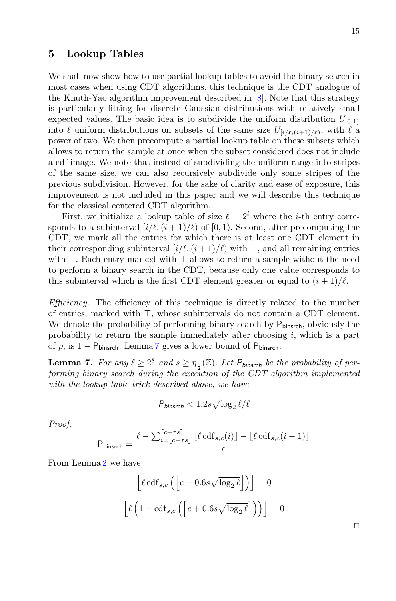# <span id="page-13-0"></span>**5 Lookup Tables**

We shall now show how to use partial lookup tables to avoid the binary search in most cases when using CDT algorithms, this technique is the CDT analogue of the Knuth-Yao algorithm improvement described in [\[8](#page-15-7)]. Note that this strategy is particularly fitting for discrete Gaussian distributions with relatively small expected values. The basic idea is to subdivide the uniform distribution  $U_{[0,1)}$ into  $\ell$  uniform distributions on subsets of the same size  $U_{[i/\ell,(i+1)/\ell)}$ , with  $\ell$  a power of two. We then precompute a partial lookup table on these subsets which allows to return the sample at once when the subset considered does not include a cdf image. We note that instead of subdividing the uniform range into stripes of the same size, we can also recursively subdivide only some stripes of the previous subdivision. However, for the sake of clarity and ease of exposure, this improvement is not included in this paper and we will describe this technique for the classical centered CDT algorithm.

First, we initialize a lookup table of size  $\ell = 2^l$  where the *i*-th entry corresponds to a subinterval  $[i/\ell,(i+1)/\ell)$  of [0,1]. Second, after precomputing the CDT, we mark all the entries for which there is at least one CDT element in their corresponding subinterval  $[i/\ell,(i+1)/\ell)$  with  $\perp$ , and all remaining entries with  $\top$ . Each entry marked with  $\top$  allows to return a sample without the need to perform a binary search in the CDT, because only one value corresponds to this subinterval which is the first CDT element greater or equal to  $(i+1)/\ell$ .

*Efficiency.* The efficiency of this technique is directly related to the number of entries, marked with  $\top$ , whose subintervals do not contain a CDT element. We denote the probability of performing binary search by  $P_{\text{binsrch}}$ , obviously the probability to return the sample immediately after choosing  $i$ , which is a part of p, is  $1 - P_{\text{binsrch}}$ . Lemma [7](#page-13-1) gives a lower bound of  $P_{\text{binsrch}}$ .

**Lemma 7.** For any  $\ell \geq 2^8$  and  $s \geq \eta_{\frac{1}{2}}(\mathbb{Z})$ . Let  $P_{\text{binsach}}$  be the probability of per*forming binary search during the execution of the CDT algorithm implemented with the lookup table trick described above, we have*

<span id="page-13-1"></span>
$$
P_{\text{binsrch}} < 1.2s\sqrt{\log_2\ell}/\ell
$$

*Proof.*

$$
P_{\text{binsrch}} = \frac{\ell - \sum_{i=\lfloor c-\tau s \rfloor}^{\lceil c+\tau s \rceil} \lfloor \ell \operatorname{cdf}_{s,c}(i) \rfloor - \lfloor \ell \operatorname{cdf}_{s,c}(i-1) \rfloor}{\ell}
$$

From Lemma [2](#page-5-1) we have

$$
\left[ \ell \operatorname{cdf}_{s,c} \left( \left[ c - 0.6s \sqrt{\log_2 \ell} \right] \right) \right] = 0
$$

$$
\left[ \ell \left( 1 - \operatorname{cdf}_{s,c} \left( \left[ c + 0.6s \sqrt{\log_2 \ell} \right] \right) \right) \right] = 0
$$

15

| ۰ | ۰ |  |
|---|---|--|
|   |   |  |
|   |   |  |
|   |   |  |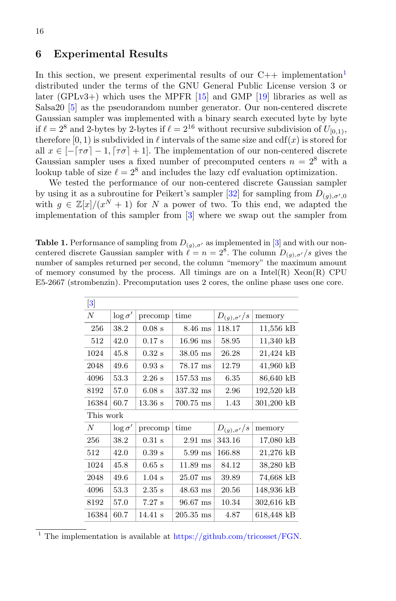# **6 Experimental Results**

In this section, we present experimental results of our  $C++$  implementation<sup>[1](#page-14-0)</sup> distributed under the terms of the GNU General Public License version 3 or later (GPLv3+) which uses the MPFR [\[15](#page-16-14)] and GMP [\[19\]](#page-16-15) libraries as well as Salsa20 [\[5](#page-15-8)] as the pseudorandom number generator. Our non-centered discrete Gaussian sampler was implemented with a binary search executed byte by byte if  $\ell = 2^8$  and 2-bytes by 2-bytes if  $\ell = 2^{16}$  without recursive subdivision of  $U_{[0,1)}$ , therefore [0, 1) is subdivided in  $\ell$  intervals of the same size and cdf(x) is stored for all  $x \in [-\tau \sigma] - 1$ ,  $[\tau \sigma] + 1$ . The implementation of our non-centered discrete Gaussian sampler uses a fixed number of precomputed centers  $n = 2^8$  with a lookup table of size  $\ell = 2^8$  and includes the lazy cdf evaluation optimization.

We tested the performance of our non-centered discrete Gaussian sampler by using it as a subroutine for Peikert's sampler [\[32\]](#page-17-3) for sampling from  $D_{(g),\sigma',0}$ with  $g \in \mathbb{Z}[x]/(x^N + 1)$  for N a power of two. To this end, we adapted the implementation of this sampler from [\[3](#page-15-9)] where we swap out the sampler from

<span id="page-14-1"></span>**Table 1.** Performance of sampling from  $D_{(g),\sigma'}$  as implemented in [\[3\]](#page-15-9) and with our noncentered discrete Gaussian sampler with  $\ell = n = 2^8$ . The column  $D_{(g),\sigma'}/s$  gives the number of samples returned per second, the column "memory" the maximum amount of memory consumed by the process. All timings are on a Intel $(R)$  Xeon $(R)$  CPU E5-2667 (strombenzin). Precomputation uses 2 cores, the online phase uses one core.

| $\vert 3 \vert$  |                |           |                     |                     |             |  |  |
|------------------|----------------|-----------|---------------------|---------------------|-------------|--|--|
| $\boldsymbol{N}$ | $\log \sigma'$ | precomp   | time                | $D_{(g),\sigma'}/s$ | memory      |  |  |
| 256              | 38.2           | $0.08$ s  | 8.46 ms             | 118.17              | 11,556 kB   |  |  |
| 512              | 42.0           | $0.17$ s  | $16.96$ ms          | 58.95               | 11,340 kB   |  |  |
| 1024             | 45.8           | $0.32$ s  | $38.05$ ms          | 26.28               | 21,424 kB   |  |  |
| 2048             | 49.6           | 0.93 s    | 78.17 ms            | 12.79               | $41,960$ kB |  |  |
| 4096             | 53.3           | $2.26$ s  | $157.53 \text{ ms}$ | 6.35                | 86,640 kB   |  |  |
| 8192             | 57.0           | $6.08$ s  | 337.32 ms           | 2.96                | 192,520 kB  |  |  |
| 16384            | 60.7           | $13.36$ s | $700.75$ ms         | 1.43                | 301,200 kB  |  |  |
| This work        |                |           |                     |                     |             |  |  |
| $\boldsymbol{N}$ | $\log \sigma'$ | precomp   | time                | $D_{(g),\sigma'}/s$ | memory      |  |  |
| 256              | 38.2           | $0.31$ s  | $2.91$ ms           | 343.16              | 17,080 kB   |  |  |
| 512              | 42.0           | $0.39$ s  | $5.99$ ms           | 166.88              | $21,276$ kB |  |  |
| 1024             | 45.8           | $0.65$ s  | $11.89$ ms          | 84.12               | 38,280 kB   |  |  |
| 2048             | 49.6           | $1.04$ s  | $25.07 \text{ ms}$  | 39.89               | 74,668 kB   |  |  |
| 4096             | 53.3           | $2.35$ s  | $48.63$ ms          | 20.56               | 148,936 kB  |  |  |
| 8192             | 57.0           | $7.27$ s  | $96.67$ ms          | 10.34               | 302,616 kB  |  |  |
| 16384            | 60.7           | $14.41$ s | $205.35 \text{ ms}$ | 4.87                | 618,448 kB  |  |  |

<span id="page-14-0"></span><sup>1</sup> The implementation is available at https://github.com/tricosset/FGN.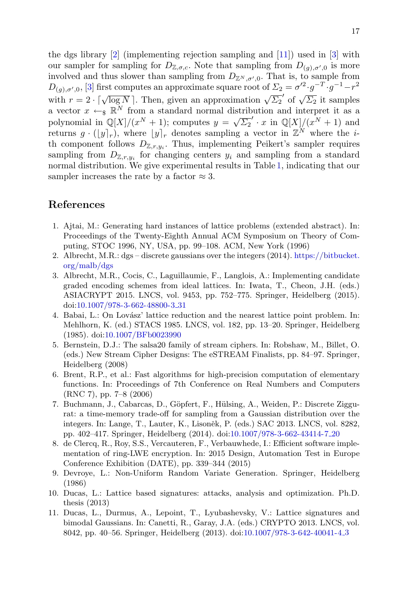the dgs library [\[2](#page-15-10)] (implementing rejection sampling and [\[11\]](#page-15-2)) used in [\[3](#page-15-9)] with our sampler for sampling for  $D_{\mathbb{Z},\sigma,c}$ . Note that sampling from  $D_{(g),\sigma',0}$  is more involved and thus slower than sampling from  $D_{\mathbb{Z}^N,\sigma',0}$ . That is, to sample from  $D_{(g),\sigma',0}$ , [\[3\]](#page-15-9) first computes an approximate square root of  $\Sigma_2 = \sigma'^2 \cdot g^{-T} \cdot g^{-1} - r^2$ with  $r = 2 \cdot \lceil \sqrt{\log N} \rceil$ . Then, given an approximation  $\sqrt{\Sigma_2}'$  of  $\sqrt{\Sigma_2}$  it samples a vector  $x \leftarrow_{\S} \mathbb{R}^N$  from a standard normal distribution and interpret it as a polynomial in  $\mathbb{Q}[X]/(x^N + 1)$ ; computes  $y = \sqrt{\Sigma_2}' \cdot x$  in  $\mathbb{Q}[X]/(x^N + 1)$  and returns  $q \cdot (|y|_r)$ , where  $|y|_r$  denotes sampling a vector in  $\mathbb{Z}^N$  where the *i*th component follows  $D_{\mathbb{Z},r,u_i}$ . Thus, implementing Peikert's sampler requires sampling from  $D_{\mathbb{Z},r,y_i}$  for changing centers  $y_i$  and sampling from a standard normal distribution. We give experimental results in Table [1,](#page-14-1) indicating that our sampler increases the rate by a factor  $\approx 3$ .

# <span id="page-15-0"></span>**References**

- 1. Ajtai, M.: Generating hard instances of lattice problems (extended abstract). In: Proceedings of the Twenty-Eighth Annual ACM Symposium on Theory of Computing, STOC 1996, NY, USA, pp. 99–108. ACM, New York (1996)
- <span id="page-15-10"></span>2. Albrecht, M.R.: dgs – discrete gaussians over the integers (2014). https://bitbucket. org/malb/dgs
- <span id="page-15-9"></span>3. Albrecht, M.R., Cocis, C., Laguillaumie, F., Langlois, A.: Implementing candidate graded encoding schemes from ideal lattices. In: Iwata, T., Cheon, J.H. (eds.) ASIACRYPT 2015. LNCS, vol. 9453, pp. 752–775. Springer, Heidelberg (2015). doi:10.1007/978-3-662-48800-3 31
- <span id="page-15-1"></span>4. Babai, L.: On Lovász' lattice reduction and the nearest lattice point problem. In: Mehlhorn, K. (ed.) STACS 1985. LNCS, vol. 182, pp. 13–20. Springer, Heidelberg (1985). doi:10.1007/BFb0023990
- <span id="page-15-8"></span>5. Bernstein, D.J.: The salsa20 family of stream ciphers. In: Robshaw, M., Billet, O. (eds.) New Stream Cipher Designs: The eSTREAM Finalists, pp. 84–97. Springer, Heidelberg (2008)
- <span id="page-15-6"></span>6. Brent, R.P., et al.: Fast algorithms for high-precision computation of elementary functions. In: Proceedings of 7th Conference on Real Numbers and Computers (RNC 7), pp. 7–8 (2006)
- <span id="page-15-3"></span>7. Buchmann, J., Cabarcas, D., Göpfert, F., Hülsing, A., Weiden, P.: Discrete Ziggurat: a time-memory trade-off for sampling from a Gaussian distribution over the integers. In: Lange, T., Lauter, K., Lisoněk, P. (eds.) SAC 2013. LNCS, vol. 8282, pp. 402–417. Springer, Heidelberg (2014). doi:10.1007/978-3-662-43414-7 20
- <span id="page-15-7"></span>8. de Clercq, R., Roy, S.S., Vercauteren, F., Verbauwhede, I.: Efficient software implementation of ring-LWE encryption. In: 2015 Design, Automation Test in Europe Conference Exhibition (DATE), pp. 339–344 (2015)
- <span id="page-15-4"></span>9. Devroye, L.: Non-Uniform Random Variate Generation. Springer, Heidelberg (1986)
- <span id="page-15-5"></span>10. Ducas, L.: Lattice based signatures: attacks, analysis and optimization. Ph.D. thesis (2013)
- <span id="page-15-2"></span>11. Ducas, L., Durmus, A., Lepoint, T., Lyubashevsky, V.: Lattice signatures and bimodal Gaussians. In: Canetti, R., Garay, J.A. (eds.) CRYPTO 2013. LNCS, vol. 8042, pp. 40–56. Springer, Heidelberg (2013). doi:10.1007/978-3-642-40041-4 3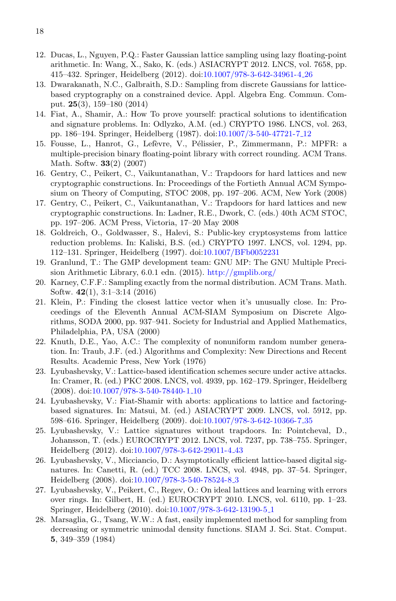- <span id="page-16-8"></span>12. Ducas, L., Nguyen, P.Q.: Faster Gaussian lattice sampling using lazy floating-point arithmetic. In: Wang, X., Sako, K. (eds.) ASIACRYPT 2012. LNCS, vol. 7658, pp. 415–432. Springer, Heidelberg (2012). doi:10.1007/978-3-642-34961-4 26
- <span id="page-16-10"></span>13. Dwarakanath, N.C., Galbraith, S.D.: Sampling from discrete Gaussians for latticebased cryptography on a constrained device. Appl. Algebra Eng. Commun. Comput. **25**(3), 159–180 (2014)
- <span id="page-16-6"></span>14. Fiat, A., Shamir, A.: How To prove yourself: practical solutions to identification and signature problems. In: Odlyzko, A.M. (ed.) CRYPTO 1986. LNCS, vol. 263, pp. 186–194. Springer, Heidelberg (1987). doi:10.1007/3-540-47721-7 12
- <span id="page-16-14"></span>15. Fousse, L., Hanrot, G., Lefèvre, V., Pélissier, P., Zimmermann, P.: MPFR: a multiple-precision binary floating-point library with correct rounding. ACM Trans. Math. Softw. **33**(2) (2007)
- <span id="page-16-1"></span>16. Gentry, C., Peikert, C., Vaikuntanathan, V.: Trapdoors for hard lattices and new cryptographic constructions. In: Proceedings of the Fortieth Annual ACM Symposium on Theory of Computing, STOC 2008, pp. 197–206. ACM, New York (2008)
- <span id="page-16-9"></span>17. Gentry, C., Peikert, C., Vaikuntanathan, V.: Trapdoors for hard lattices and new cryptographic constructions. In: Ladner, R.E., Dwork, C. (eds.) 40th ACM STOC, pp. 197–206. ACM Press, Victoria, 17–20 May 2008
- <span id="page-16-2"></span>18. Goldreich, O., Goldwasser, S., Halevi, S.: Public-key cryptosystems from lattice reduction problems. In: Kaliski, B.S. (ed.) CRYPTO 1997. LNCS, vol. 1294, pp. 112–131. Springer, Heidelberg (1997). doi:10.1007/BFb0052231
- <span id="page-16-15"></span>19. Granlund, T.: The GMP development team: GNU MP: The GNU Multiple Precision Arithmetic Library, 6.0.1 edn. (2015). http://gmplib.org/
- <span id="page-16-11"></span>20. Karney, C.F.F.: Sampling exactly from the normal distribution. ACM Trans. Math. Softw. **42**(1), 3:1–3:14 (2016)
- <span id="page-16-3"></span>21. Klein, P.: Finding the closest lattice vector when it's unusually close. In: Proceedings of the Eleventh Annual ACM-SIAM Symposium on Discrete Algorithms, SODA 2000, pp. 937–941. Society for Industrial and Applied Mathematics, Philadelphia, PA, USA (2000)
- <span id="page-16-13"></span>22. Knuth, D.E., Yao, A.C.: The complexity of nonuniform random number generation. In: Traub, J.F. (ed.) Algorithms and Complexity: New Directions and Recent Results. Academic Press, New York (1976)
- <span id="page-16-4"></span>23. Lyubashevsky, V.: Lattice-based identification schemes secure under active attacks. In: Cramer, R. (ed.) PKC 2008. LNCS, vol. 4939, pp. 162–179. Springer, Heidelberg (2008). doi:10.1007/978-3-540-78440-1 10
- 24. Lyubashevsky, V.: Fiat-Shamir with aborts: applications to lattice and factoringbased signatures. In: Matsui, M. (ed.) ASIACRYPT 2009. LNCS, vol. 5912, pp. 598–616. Springer, Heidelberg (2009). doi:10.1007/978-3-642-10366-7 35
- <span id="page-16-7"></span>25. Lyubashevsky, V.: Lattice signatures without trapdoors. In: Pointcheval, D., Johansson, T. (eds.) EUROCRYPT 2012. LNCS, vol. 7237, pp. 738–755. Springer, Heidelberg (2012). doi:10.1007/978-3-642-29011-4 43
- <span id="page-16-5"></span>26. Lyubashevsky, V., Micciancio, D.: Asymptotically efficient lattice-based digital signatures. In: Canetti, R. (ed.) TCC 2008. LNCS, vol. 4948, pp. 37–54. Springer, Heidelberg (2008). doi:10.1007/978-3-540-78524-8 3
- <span id="page-16-0"></span>27. Lyubashevsky, V., Peikert, C., Regev, O.: On ideal lattices and learning with errors over rings. In: Gilbert, H. (ed.) EUROCRYPT 2010. LNCS, vol. 6110, pp. 1–23. Springer, Heidelberg (2010). doi:10.1007/978-3-642-13190-5 1
- <span id="page-16-12"></span>28. Marsaglia, G., Tsang, W.W.: A fast, easily implemented method for sampling from decreasing or symmetric unimodal density functions. SIAM J. Sci. Stat. Comput. **5**, 349–359 (1984)